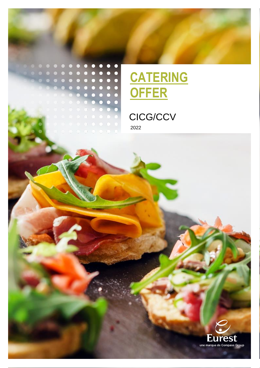

........



# CICG/CCV 2022

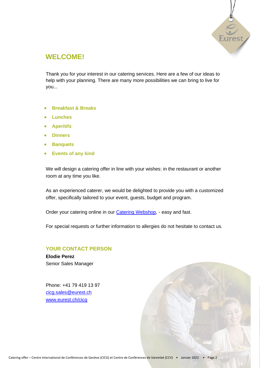

## **WELCOME!**

Thank you for your interest in our catering services. Here are a few of our ideas to help with your planning. There are many more possibilities we can bring to live for you...

- **Breakfast & Breaks**
- **Lunches**
- **Aperitifs**
- **Dinners**
- **Banquets**
- **Events of any kind**

We will design a catering offer in line with your wishes: in the restaurant or another room at any time you like.

As an experienced caterer, we would be delighted to provide you with a customized offer, specifically tailored to your event, guests, budget and program.

Order your catering online in our [Catering Webshop,](https://shop.eurest.ch/cicg/en/home) - easy and fast.

For special requests or further information to allergies do not hesitate to contact us.

### **YOUR CONTACT PERSON**

**Elodie Perez** Senior Sales Manager

Phone: +41 79 419 13 97 [cicg.sales@eurest.ch](mailto:cicg.sales@eurest.ch) [www.eurest.ch/cicg](http://www.eurest.ch/cicg)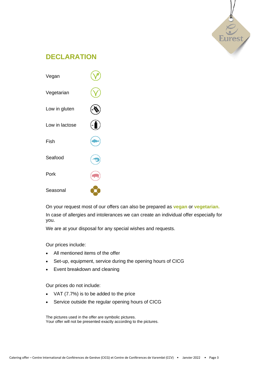

## **DECLARATION**



On your request most of our offers can also be prepared as **vegan** or **vegetarian.** In case of allergies and intolerances we can create an individual offer especially for you.

We are at your disposal for any special wishes and requests.

Our prices include:

- All mentioned items of the offer
- Set-up, equipment, service during the opening hours of CICG
- Event breakdown and cleaning

Our prices do not include:

- VAT (7.7%) is to be added to the price
- Service outside the regular opening hours of CICG

The pictures used in the offer are symbolic pictures. Your offer will not be presented exactly according to the pictures.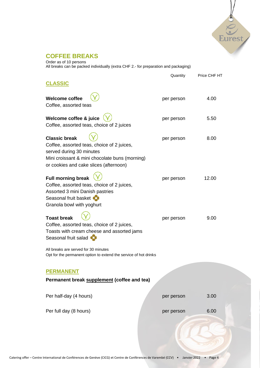

### **COFFEE BREAKS**

Order as of 10 persons All breaks can be packed individually (extra CHF 2.- for preparation and packaging)

| <b>CLASSIC</b>                                                                                                                                                                             | Quantity   | Price CHF HT |  |
|--------------------------------------------------------------------------------------------------------------------------------------------------------------------------------------------|------------|--------------|--|
| <b>Welcome coffee</b><br>Coffee, assorted teas                                                                                                                                             | per person | 4.00         |  |
| Welcome coffee & juice<br>Coffee, assorted teas, choice of 2 juices                                                                                                                        | per person | 5.50         |  |
| <b>Classic break</b><br>Coffee, assorted teas, choice of 2 juices,<br>served during 30 minutes<br>Mini croissant & mini chocolate buns (morning)<br>or cookies and cake slices (afternoon) | per person | 8.00         |  |
| <b>Full morning break</b><br>Coffee, assorted teas, choice of 2 juices,<br>Assorted 3 mini Danish pastries<br>Seasonal fruit basket<br>Granola bowl with yoghurt                           | per person | 12.00        |  |
| <b>Toast break</b><br>Coffee, assorted teas, choice of 2 juices,<br>Toasts with cream cheese and assorted jams<br>Seasonal fruit salad<br>All breaks are served for 30 minutes             | per person | 9.00         |  |
| Opt for the permanent option to extend the service of hot drinks                                                                                                                           |            |              |  |
| <b>PERMANENT</b><br>Permanent break supplement (coffee and tea)                                                                                                                            |            |              |  |
| Per half-day (4 hours)                                                                                                                                                                     | per person | 3.00         |  |
| Per full day (8 hours)                                                                                                                                                                     | per person | 6.00         |  |
|                                                                                                                                                                                            |            |              |  |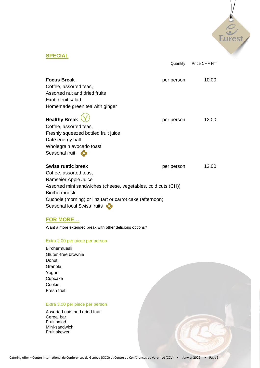

Quantity Price CHF HT

### **SPECIAL**

| <b>Focus Break</b>                                                                                                                                       | per person | 10.00 |
|----------------------------------------------------------------------------------------------------------------------------------------------------------|------------|-------|
| Coffee, assorted teas,                                                                                                                                   |            |       |
| Assorted nut and dried fruits                                                                                                                            |            |       |
| Exotic fruit salad                                                                                                                                       |            |       |
| Homemade green tea with ginger                                                                                                                           |            |       |
| <b>Healthy Break</b><br>Coffee, assorted teas,<br>Freshly squeezed bottled fruit juice<br>Date energy ball<br>Wholegrain avocado toast<br>Seasonal fruit | per person | 12.00 |
| Swiss rustic break                                                                                                                                       | per person | 12.00 |

Coffee, assorted teas, Ramseier Apple Juice Assorted mini sandwiches (cheese, vegetables, cold cuts (CH)) Birchermuesli Cuchole (morning) or linz tart or carrot cake (afternoon) Seasonal local Swiss fruits

#### **FOR MORE…**

Want a more extended break with other delicious options?

#### Extra 2.00 per piece per person

Birchermuesli Gluten-free brownie Donut Granola Yogurt Cupcake Cookie Fresh fruit

#### Extra 3.00 per piece per person

Assorted nuts and dried fruit Cereal bar Fruit salad Mini-sandwich Fruit skewer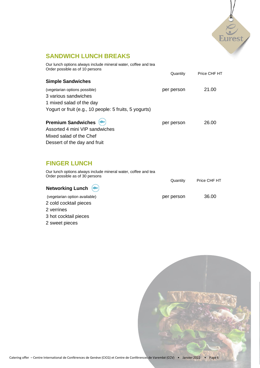

## **SANDWICH LUNCH BREAKS**

| Our lunch options always include mineral water, coffee and tea<br>Order possible as of 10 persons |            |              |
|---------------------------------------------------------------------------------------------------|------------|--------------|
|                                                                                                   | Quantity   | Price CHF HT |
| <b>Simple Sandwiches</b>                                                                          |            |              |
| (vegetarian options possible)                                                                     | per person | 21.00        |
| 3 various sandwiches                                                                              |            |              |
| 1 mixed salad of the day                                                                          |            |              |
| Yogurt or fruit (e.g., 10 people: 5 fruits, 5 yogurts)                                            |            |              |
| <b>Premium Sandwiches</b>                                                                         | per person | 26.00        |

| $\blacksquare$                 | <b>PEI PEISUIT</b> |
|--------------------------------|--------------------|
| Assorted 4 mini VIP sandwiches |                    |
| Mixed salad of the Chef        |                    |
| Dessert of the day and fruit   |                    |

## **FINGER LUNCH**

| Our lunch options always include mineral water, coffee and tea<br>Order possible as of 30 persons | Quantity   | Price CHF HT |
|---------------------------------------------------------------------------------------------------|------------|--------------|
| Networking Lunch $(\rightarrow)$                                                                  |            |              |
| (vegetarian option available)                                                                     | per person | 36.00        |
| 2 cold cocktail pieces                                                                            |            |              |
| 2 verrines                                                                                        |            |              |
| 3 hot cocktail pieces                                                                             |            |              |

2 sweet pieces

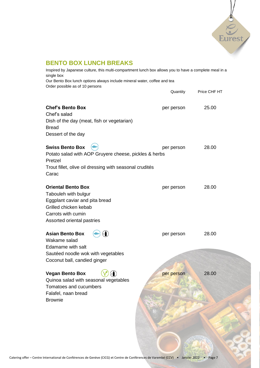

## **BENTO BOX LUNCH BREAKS**

| Inspired by Japanese culture, this multi-compartment lunch box allows you to have a complete meal in a<br>single box<br>Our Bento Box lunch options always include mineral water, coffee and tea<br>Order possible as of 10 persons |            |              |  |
|-------------------------------------------------------------------------------------------------------------------------------------------------------------------------------------------------------------------------------------|------------|--------------|--|
|                                                                                                                                                                                                                                     | Quantity   | Price CHF HT |  |
| <b>Chef's Bento Box</b><br>Chef's salad<br>Dish of the day (meat, fish or vegetarian)<br><b>Bread</b><br>Dessert of the day                                                                                                         | per person | 25.00        |  |
| <b>Swiss Bento Box</b><br>Potato salad with AOP Gruyere cheese, pickles & herbs<br>Pretzel<br>Trout fillet, olive oil dressing with seasonal crudités<br>Carac                                                                      | per person | 28.00        |  |
| <b>Oriental Bento Box</b><br>Tabouleh with bulgur<br>Eggplant caviar and pita bread<br>Grilled chicken kebab<br>Carrots with cumin<br>Assorted oriental pastries                                                                    | per person | 28.00        |  |
| <b>Asian Bento Box</b><br>Wakame salad<br>Edamame with salt<br>Sautéed noodle wok with vegetables<br>Coconut ball, candied ginger                                                                                                   | per person | 28.00        |  |
| <b>Vegan Bento Box</b><br>Quinoa salad with seasonal vegetables<br>Tomatoes and cucumbers<br>Falafel, naan bread<br><b>Brownie</b>                                                                                                  | per person | 28.00        |  |
|                                                                                                                                                                                                                                     |            |              |  |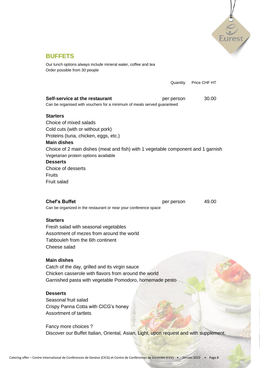

Our lunch options always include mineral water, coffee and tea Order possible from 30 people

|                                                                                                                                                                                                                                                                                                                                                         | Quantity   | Price CHF HT |
|---------------------------------------------------------------------------------------------------------------------------------------------------------------------------------------------------------------------------------------------------------------------------------------------------------------------------------------------------------|------------|--------------|
| Self-service at the restaurant<br>Can be organised with vouchers for a minimum of meals served guaranteed                                                                                                                                                                                                                                               | per person | 30.00        |
| <b>Starters</b><br>Choice of mixed salads<br>Cold cuts (with or without pork)<br>Proteins (tuna, chicken, eggs, etc.)<br><b>Main dishes</b><br>Choice of 2 main dishes (meat and fish) with 1 vegetable component and 1 garnish<br>Vegetarian protein options available<br><b>Desserts</b><br>Choice of desserts<br><b>Fruits</b><br><b>Fruit salad</b> |            |              |
| <b>Chef's Buffet</b><br>Can be organized in the restaurant or near your conference space                                                                                                                                                                                                                                                                | per person | 49.00        |
| <b>Starters</b><br>Fresh salad with seasonal vegetables<br>Assortment of mezes from around the world<br>Tabbouleh from the 6th continent<br>Cheese salad                                                                                                                                                                                                |            |              |
| <b>Main dishes</b><br>Catch of the day, grilled and its virgin sauce<br>Chicken casserole with flavors from around the world<br>Garnished pasta with vegetable Pomodoro, homemade pesto                                                                                                                                                                 |            |              |
| <b>Desserts</b><br>Seasonal fruit salad<br>Crispy Panna Cotta with CICG's honey<br>Assortment of tartlets                                                                                                                                                                                                                                               |            |              |
| Fancy more choices ?<br>Discover our Buffet Italian, Oriental, Asian, Light, upon request and with supplement.                                                                                                                                                                                                                                          |            |              |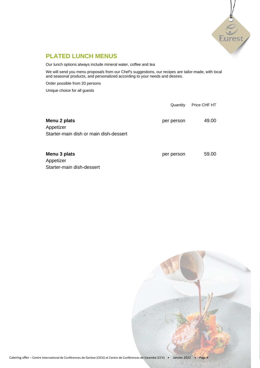

### **PLATED LUNCH MENUS**

Our lunch options always include mineral water, coffee and tea

We will send you menu proposals from our Chef's suggestions, our recipes are tailor-made, with local and seasonal products, and personalized according to your needs and desires.

Order possible from 20 persons

Unique choice for all guests

|                                        | Quantity   | Price CHF HT |
|----------------------------------------|------------|--------------|
| Menu 2 plats<br>Appetizer              | per person | 49.00        |
| Starter-main dish or main dish-dessert |            |              |
| Menu 3 plats                           | per person | 59.00        |

Appetizer Starter-main dish-dessert

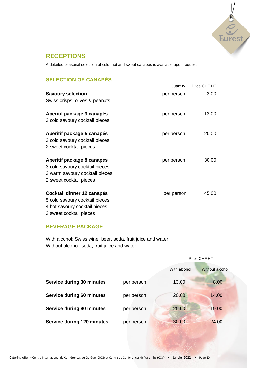

### **RECEPTIONS**

A detailed seasonal selection of cold, hot and sweet canapés is available upon request

### **SELECTION OF CANAPÉS**

|                                | Quantity   | Price CHF HT |
|--------------------------------|------------|--------------|
| <b>Savoury selection</b>       | per person | 3.00         |
| Swiss crisps, olives & peanuts |            |              |
| Aperitif package 3 canapés     | per person | 12.00        |
| 3 cold savoury cocktail pieces |            |              |
| Aperitif package 5 canapés     | per person | 20.00        |
| 3 cold savoury cocktail pieces |            |              |
| 2 sweet cocktail pieces        |            |              |
| Aperitif package 8 canapés     | per person | 30.00        |
| 3 cold savoury cocktail pieces |            |              |
| 3 warm savoury cocktail pieces |            |              |
| 2 sweet cocktail pieces        |            |              |
| Cocktail dinner 12 canapés     | per person | 45.00        |
| 5 cold savoury cocktail pieces |            |              |
| 4 hot savoury cocktail pieces  |            |              |

3 sweet cocktail pieces

### **BEVERAGE PACKAGE**

With alcohol: Swiss wine, beer, soda, fruit juice and water Without alcohol: soda, fruit juice and water

|                                   |            | Price CHF HT |                 |  |
|-----------------------------------|------------|--------------|-----------------|--|
|                                   |            | With alcohol | Without alcohol |  |
| <b>Service during 30 minutes</b>  | per person | 13.00        | 8.00            |  |
| Service during 60 minutes         | per person | 20.00        | 14.00           |  |
| <b>Service during 90 minutes</b>  | per person | 25.00        | 19.00           |  |
| <b>Service during 120 minutes</b> | per person | 30.00        | 24.00           |  |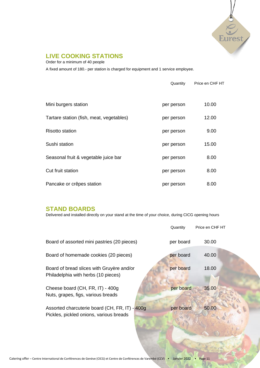

### **LIVE COOKING STATIONS**

Order for a minimum of 40 people

A fixed amount of 180.- per station is charged for equipment and 1 service employee.

|                                          | Quantity   | Price en CHF HT |
|------------------------------------------|------------|-----------------|
| Mini burgers station                     | per person | 10.00           |
| Tartare station (fish, meat, vegetables) | per person | 12.00           |
| <b>Risotto station</b>                   | per person | 9.00            |
| Sushi station                            | per person | 15.00           |
| Seasonal fruit & vegetable juice bar     | per person | 8.00            |
| Cut fruit station                        | per person | 8.00            |
| Pancake or crêpes station                | per person | 8.00            |

### **STAND BOARDS**

Delivered and installed directly on your stand at the time of your choice, during CICG opening hours

|                                                                                           | Quantity  | Price en CHF HT |
|-------------------------------------------------------------------------------------------|-----------|-----------------|
| Board of assorted mini pastries (20 pieces)                                               | per board | 30.00           |
| Board of homemade cookies (20 pieces)                                                     | per board | 40.00           |
| Board of bread slices with Gruyère and/or<br>Philadelphia with herbs (10 pieces)          | per board | 18.00           |
| Cheese board (CH, FR, IT) - 400g<br>Nuts, grapes, figs, various breads                    | per board | 35.00           |
| Assorted charcuterie board (CH, FR, IT) - 400g<br>Pickles, pickled onions, various breads | per board | 50.00           |
|                                                                                           |           |                 |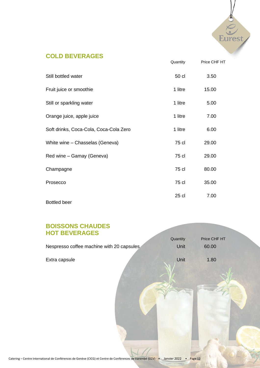

## **COLD BEVERAGES**

|                                        | Quantity | Price CHF HT |
|----------------------------------------|----------|--------------|
| Still bottled water                    | 50 cl    | 3.50         |
| Fruit juice or smoothie                | 1 litre  | 15.00        |
| Still or sparkling water               | 1 litre  | 5.00         |
| Orange juice, apple juice              | 1 litre  | 7.00         |
| Soft drinks, Coca-Cola, Coca-Cola Zero | 1 litre  | 6.00         |
| White wine - Chasselas (Geneva)        | 75 cl    | 29.00        |
| Red wine - Gamay (Geneva)              | 75 cl    | 29.00        |
| Champagne                              | 75 cl    | 80.00        |
| Prosecco                               | 75 cl    | 35.00        |
|                                        | 25 cl    | 7.00         |

Bottled beer

## **BOISSONS CHAUDES HOT BEVERAGES**

| <b>HOT BEVERAGES</b>                      |          |              |  |
|-------------------------------------------|----------|--------------|--|
|                                           | Quantity | Price CHF HT |  |
| Nespresso coffee machine with 20 capsules | Unit     | 60.00        |  |
| Extra capsule                             | Unit     | 1.80         |  |
|                                           |          |              |  |
|                                           |          |              |  |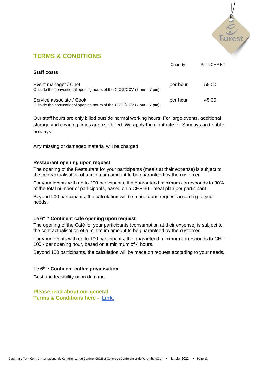

## **TERMS & CONDITIONS**

|                                                                                                                    | Quantity | Price CHF HT |
|--------------------------------------------------------------------------------------------------------------------|----------|--------------|
| <b>Staff costs</b>                                                                                                 |          |              |
| Event manager / Chef<br>Outside the conventional opening hours of the CICG/CCV $(7 \text{ am} - 7 \text{ pm})$     | per hour | 55.00        |
| Service associate / Cook<br>Outside the conventional opening hours of the CICG/CCV $(7 \text{ am} - 7 \text{ pm})$ | per hour | 45.00        |

Our staff hours are only billed outside normal working hours. For large events, additional storage and cleaning times are also billed. We apply the night rate for Sundays and public holidays.

Any missing or damaged material will be charged

#### **Restaurant opening upon request**

The opening of the Restaurant for your participants (meals at their expense) is subject to the contractualisation of a minimum amount to be guaranteed by the customer.

For your events with up to 200 participants, the guaranteed minimum corresponds to 30% of the total number of participants, based on a CHF 30.- meal plan per participant.

Beyond 200 participants, the calculation will be made upon request according to your needs.

#### **Le 6ème Continent café opening upon request**

The opening of the Café for your participants (consumption at their expense) is subject to the contractualisation of a minimum amount to be guaranteed by the customer.

For your events with up to 100 participants, the guaranteed minimum corresponds to CHF 100.- per opening hour, based on a minimum of 4 hours.

Beyond 100 participants, the calculation will be made on request according to your needs.

#### **Le 6ème Continent coffee privatisation**

Cost and feasibility upon demand

**Please read about our general Terms & Conditions here - [Link.](https://clients.eurest.ch/cicg/en/AGB)**